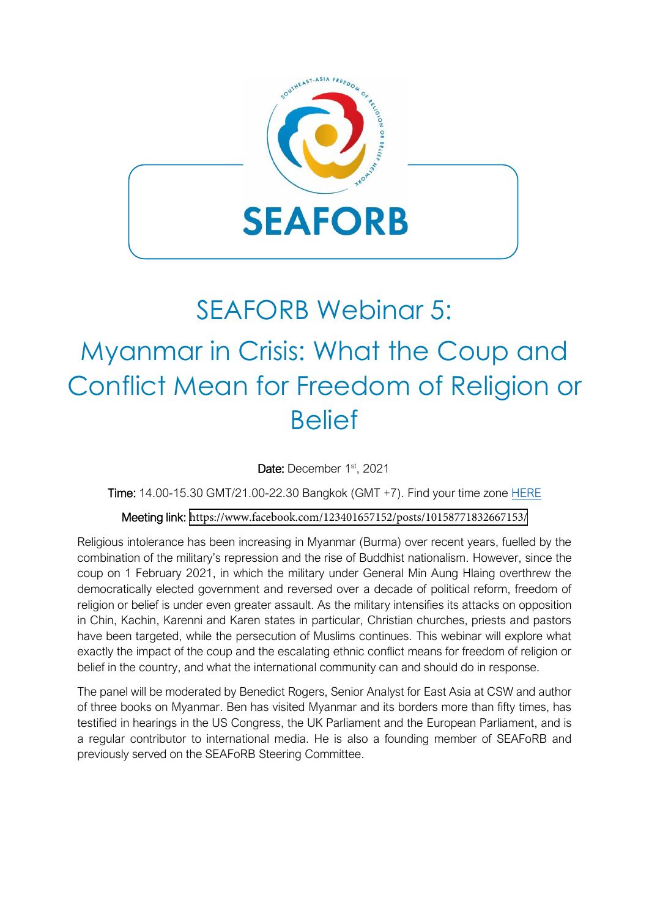

## SEAFORB Webinar 5:

## Myanmar in Crisis: What the Coup and Conflict Mean for Freedom of Religion or **Belief**

Date: December 1<sup>st</sup>, 2021

Time: 14.00-15.30 GMT/21.00-22.30 Bangkok (GMT +7). Find your time zone [HERE](https://www.timeanddate.com/worldclock/converter.html?iso=20211201T140000&p1=28&p2=1440)

## Meeting link: [https://ww](https://www.facebook.com/123401657152/posts/10158771832667153/)[w.facebook.com/123401657152/posts/1015877183](https://eur02.safelinks.protection.outlook.com/?url=https%3A%2F%2Fwww.youtube.com%2Fwatch%3Fv%3Dxy1amKES-Ys&data=04%7C01%7C%7Cab015d7176364947af4008d9a9ec480c%7Ce75a8a108c924e97973ac575d5619cb5%7C0%7C0%7C637727654568638398%7CUnknown%7CTWFpbGZsb3d8eyJWIjoiMC4wLjAwMDAiLCJQIjoiV2luMzIiLCJBTiI6Ik1haWwiLCJXVCI6Mn0%3D%7C3000&sdata=I2gW%2FqtDox82TV6JuXJmmr4Vb9zmPQky9FKs7fNnsyE%3D&reserved=0)[2667153/](https://www.facebook.com/123401657152/posts/10158771832667153/)

Religious intolerance has been increasing in Myanmar (Burma) over recent years, fuelled by the combination of the military's repression and the rise of Buddhist nationalism. However, since the coup on 1 February 2021, in which the military under General Min Aung Hlaing overthrew the democratically elected government and reversed over a decade of political reform, freedom of religion or belief is under even greater assault. As the military intensifies its attacks on opposition in Chin, Kachin, Karenni and Karen states in particular, Christian churches, priests and pastors have been targeted, while the persecution of Muslims continues. This webinar will explore what exactly the impact of the coup and the escalating ethnic conflict means for freedom of religion or belief in the country, and what the international community can and should do in response.

The panel will be moderated by Benedict Rogers, Senior Analyst for East Asia at CSW and author of three books on Myanmar. Ben has visited Myanmar and its borders more than fifty times, has testified in hearings in the US Congress, the UK Parliament and the European Parliament, and is a regular contributor to international media. He is also a founding member of SEAFoRB and previously served on the SEAFoRB Steering Committee.